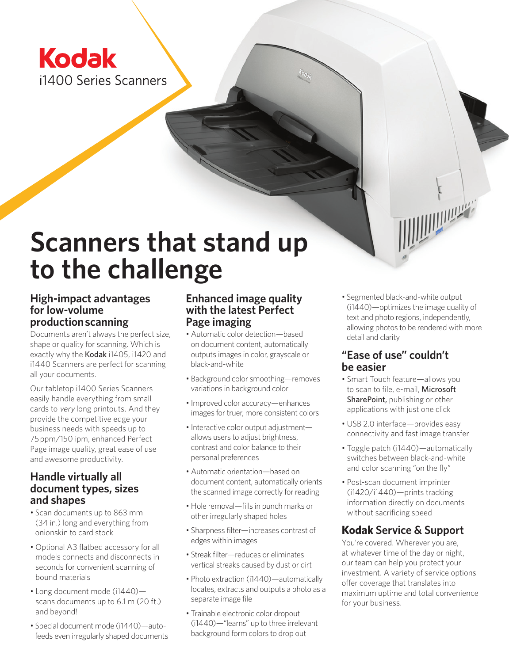## **Kodak** i1400 Series Scanners

# **Scanners that stand up to the challenge**

#### **High-impact advantages for low-volume production scanning**

Documents aren't always the perfect size, shape or quality for scanning. Which is exactly why the Kodak i1405, i1420 and i1440 Scanners are perfect for scanning all your documents.

Our tabletop i1400 Series Scanners easily handle everything from small cards to very long printouts. And they provide the competitive edge your business needs with speeds up to 75 ppm/150 ipm, enhanced Perfect Page image quality, great ease of use and awesome productivity.

#### **Handle virtually all document types, sizes and shapes**

- • Scan documents up to 863 mm (34 in.) long and everything from onionskin to card stock
- Optional A3 flatbed accessory for all models connects and disconnects in seconds for convenient scanning of bound materials
- Long document mode (i1440) scans documents up to 6.1 m (20 ft.) and beyond!
- Special document mode (i1440)—autofeeds even irregularly shaped documents

#### **Enhanced image quality with the latest Perfect Page imaging**

- Automatic color detection—based on document content, automatically outputs images in color, grayscale or black-and-white
- Background color smoothing—removes variations in background color
- Improved color accuracy—enhances images for truer, more consistent colors
- Interactive color output adjustment allows users to adjust brightness, contrast and color balance to their personal preferences
- Automatic orientation—based on document content, automatically orients the scanned image correctly for reading
- Hole removal—fills in punch marks or other irregularly shaped holes
- Sharpness filter—increases contrast of edges within images
- Streak filter—reduces or eliminates vertical streaks caused by dust or dirt
- Photo extraction (i1440)—automatically locates, extracts and outputs a photo as a separate image file
- Trainable electronic color dropout (i1440)—"learns" up to three irrelevant background form colors to drop out

• Segmented black-and-white output (i1440)—optimizes the image quality of text and photo regions, independently, allowing photos to be rendered with more detail and clarity

#### **"Ease of use" couldn't be easier**

- Smart Touch feature—allows you to scan to file, e-mail, Microsoft SharePoint, publishing or other applications with just one click
- USB 2.0 interface—provides easy connectivity and fast image transfer
- Toggle patch (i1440)—automatically switches between black-and-white and color scanning "on the fly"
- Post-scan document imprinter (i1420/i1440)—prints tracking information directly on documents without sacrificing speed

#### **Kodak Service & Support**

You're covered. Wherever you are, at whatever time of the day or night, our team can help you protect your investment. A variety of service options offer coverage that translates into maximum uptime and total convenience for your business.